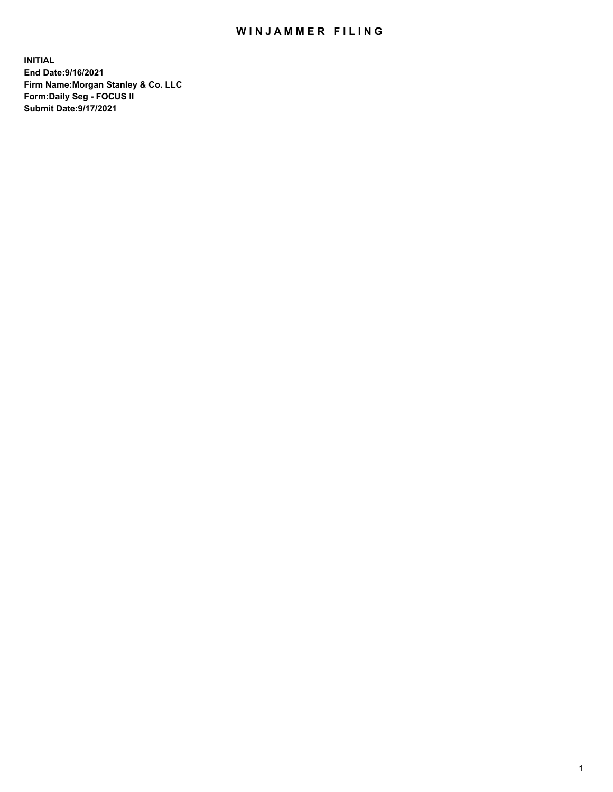## WIN JAMMER FILING

**INITIAL End Date:9/16/2021 Firm Name:Morgan Stanley & Co. LLC Form:Daily Seg - FOCUS II Submit Date:9/17/2021**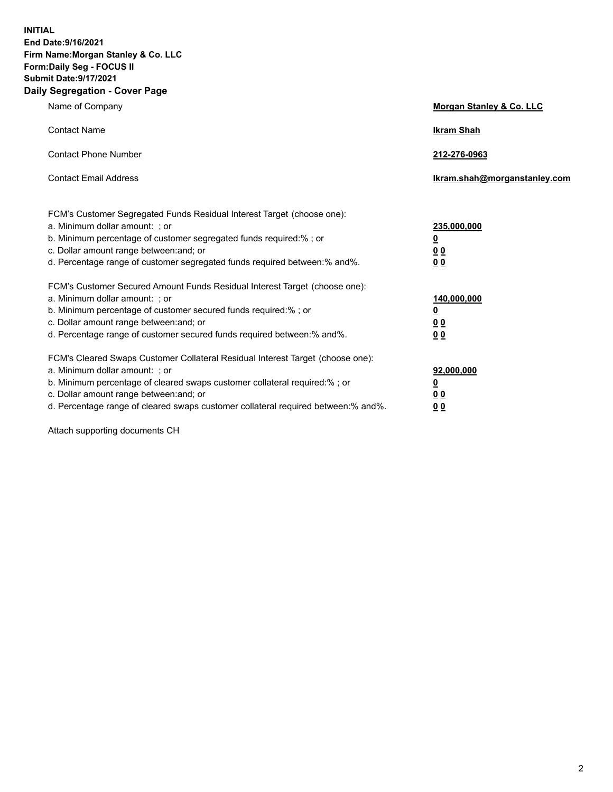**INITIAL End Date:9/16/2021 Firm Name:Morgan Stanley & Co. LLC Form:Daily Seg - FOCUS II Submit Date:9/17/2021 Daily Segregation - Cover Page**

| Name of Company                                                                                                                                                                                                                                                                                                                | <b>Morgan Stanley &amp; Co. LLC</b>                    |
|--------------------------------------------------------------------------------------------------------------------------------------------------------------------------------------------------------------------------------------------------------------------------------------------------------------------------------|--------------------------------------------------------|
| <b>Contact Name</b>                                                                                                                                                                                                                                                                                                            | <b>Ikram Shah</b>                                      |
| <b>Contact Phone Number</b>                                                                                                                                                                                                                                                                                                    | 212-276-0963                                           |
| <b>Contact Email Address</b>                                                                                                                                                                                                                                                                                                   | Ikram.shah@morganstanley.com                           |
| FCM's Customer Segregated Funds Residual Interest Target (choose one):<br>a. Minimum dollar amount: ; or<br>b. Minimum percentage of customer segregated funds required:% ; or<br>c. Dollar amount range between: and; or<br>d. Percentage range of customer segregated funds required between:% and%.                         | 235,000,000<br><u>0</u><br><u>0 0</u><br>0 Q           |
| FCM's Customer Secured Amount Funds Residual Interest Target (choose one):<br>a. Minimum dollar amount: ; or<br>b. Minimum percentage of customer secured funds required:%; or<br>c. Dollar amount range between: and; or<br>d. Percentage range of customer secured funds required between: % and %.                          | 140,000,000<br><u>0</u><br><u>00</u><br>0 <sub>0</sub> |
| FCM's Cleared Swaps Customer Collateral Residual Interest Target (choose one):<br>a. Minimum dollar amount: ; or<br>b. Minimum percentage of cleared swaps customer collateral required:% ; or<br>c. Dollar amount range between: and; or<br>d. Percentage range of cleared swaps customer collateral required between:% and%. | 92,000,000<br><u>0</u><br><u>00</u><br>00              |

Attach supporting documents CH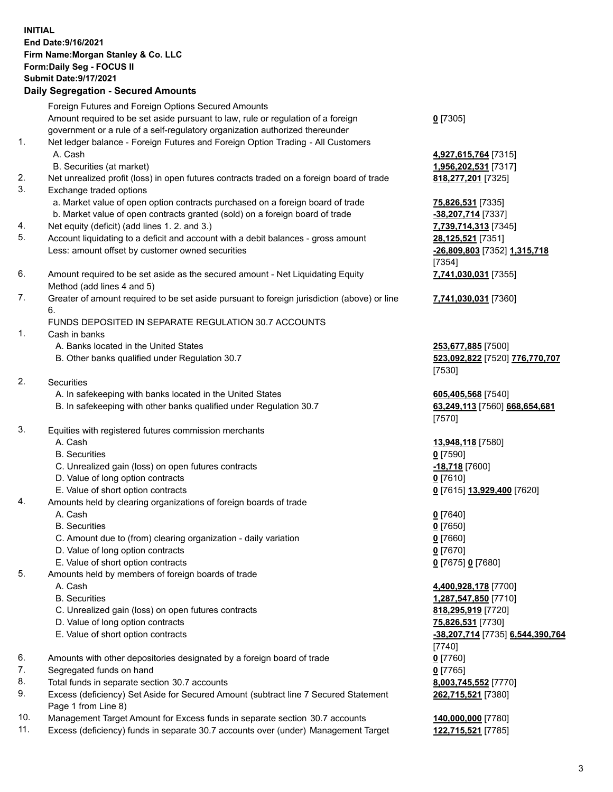## **INITIAL End Date:9/16/2021 Firm Name:Morgan Stanley & Co. LLC Form:Daily Seg - FOCUS II Submit Date:9/17/2021**

## **Daily Segregation - Secured Amounts**

Foreign Futures and Foreign Options Secured Amounts Amount required to be set aside pursuant to law, rule or regulation of a foreign government or a rule of a self-regulatory organization authorized thereunder 1. Net ledger balance - Foreign Futures and Foreign Option Trading - All Customers A. Cash **4,927,615,764** [7315] B. Securities (at market) **1,956,202,531** [7317] 2. Net unrealized profit (loss) in open futures contracts traded on a foreign board of trade **818,277,201** [7325] 3. Exchange traded options a. Market value of open option contracts purchased on a foreign board of trade **75,826,531** [7335] b. Market value of open contracts granted (sold) on a foreign board of trade **-38,207,714** [7337] 4. Net equity (deficit) (add lines 1. 2. and 3.) **7,739,714,313** [7345] 5. Account liquidating to a deficit and account with a debit balances - gross amount **28,125,521** [7351] Less: amount offset by customer owned securities **-26,809,803** [7352] **1,315,718** 6. Amount required to be set aside as the secured amount - Net Liquidating Equity Method (add lines 4 and 5) 7. Greater of amount required to be set aside pursuant to foreign jurisdiction (above) or line 6. FUNDS DEPOSITED IN SEPARATE REGULATION 30.7 ACCOUNTS 1. Cash in banks A. Banks located in the United States **253,677,885** [7500] B. Other banks qualified under Regulation 30.7 **523,092,822** [7520] **776,770,707** 2. Securities A. In safekeeping with banks located in the United States **605,405,568** [7540] B. In safekeeping with other banks qualified under Regulation 30.7 **63,249,113** [7560] **668,654,681** 3. Equities with registered futures commission merchants A. Cash **13,948,118** [7580] B. Securities **0** [7590] C. Unrealized gain (loss) on open futures contracts **-18,718** [7600] D. Value of long option contracts **0** [7610] E. Value of short option contracts **0** [7615] **13,929,400** [7620] 4. Amounts held by clearing organizations of foreign boards of trade A. Cash **0** [7640] B. Securities **0** [7650] C. Amount due to (from) clearing organization - daily variation **0** [7660] D. Value of long option contracts **0** [7670] E. Value of short option contracts **0** [7675] **0** [7680] 5. Amounts held by members of foreign boards of trade A. Cash **4,400,928,178** [7700] B. Securities **1,287,547,850** [7710] C. Unrealized gain (loss) on open futures contracts **818,295,919** [7720] D. Value of long option contracts **75,826,531** [7730]

- 
- 6. Amounts with other depositories designated by a foreign board of trade **0** [7760]
- 7. Segregated funds on hand **0** [7765]
- 8. Total funds in separate section 30.7 accounts **8,003,745,552** [7770]
- 9. Excess (deficiency) Set Aside for Secured Amount (subtract line 7 Secured Statement Page 1 from Line 8)
- 10. Management Target Amount for Excess funds in separate section 30.7 accounts **140,000,000** [7780]
- 11. Excess (deficiency) funds in separate 30.7 accounts over (under) Management Target **122,715,521** [7785]

**0** [7305]

[7354] **7,741,030,031** [7355]

**7,741,030,031** [7360]

[7530]

[7570]

 E. Value of short option contracts **-38,207,714** [7735] **6,544,390,764** [7740] **262,715,521** [7380]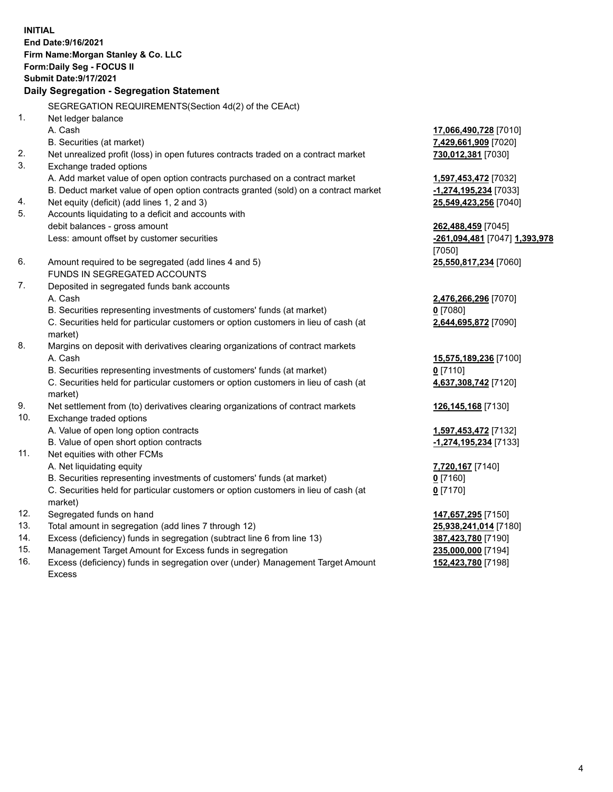**INITIAL End Date:9/16/2021 Firm Name:Morgan Stanley & Co. LLC Form:Daily Seg - FOCUS II Submit Date:9/17/2021 Daily Segregation - Segregation Statement** SEGREGATION REQUIREMENTS(Section 4d(2) of the CEAct) 1. Net ledger balance A. Cash **17,066,490,728** [7010] B. Securities (at market) **7,429,661,909** [7020] 2. Net unrealized profit (loss) in open futures contracts traded on a contract market **730,012,381** [7030] 3. Exchange traded options A. Add market value of open option contracts purchased on a contract market **1,597,453,472** [7032] B. Deduct market value of open option contracts granted (sold) on a contract market **-1,274,195,234** [7033] 4. Net equity (deficit) (add lines 1, 2 and 3) **25,549,423,256** [7040] 5. Accounts liquidating to a deficit and accounts with debit balances - gross amount **262,488,459** [7045] Less: amount offset by customer securities **-261,094,481** [7047] **1,393,978** [7050] 6. Amount required to be segregated (add lines 4 and 5) **25,550,817,234** [7060] FUNDS IN SEGREGATED ACCOUNTS 7. Deposited in segregated funds bank accounts A. Cash **2,476,266,296** [7070] B. Securities representing investments of customers' funds (at market) **0** [7080] C. Securities held for particular customers or option customers in lieu of cash (at market) **2,644,695,872** [7090] 8. Margins on deposit with derivatives clearing organizations of contract markets A. Cash **15,575,189,236** [7100] B. Securities representing investments of customers' funds (at market) **0** [7110] C. Securities held for particular customers or option customers in lieu of cash (at market) **4,637,308,742** [7120] 9. Net settlement from (to) derivatives clearing organizations of contract markets **126,145,168** [7130] 10. Exchange traded options A. Value of open long option contracts **1,597,453,472** [7132] B. Value of open short option contracts **-1,274,195,234** [7133] 11. Net equities with other FCMs A. Net liquidating equity **7,720,167** [7140] B. Securities representing investments of customers' funds (at market) **0** [7160] C. Securities held for particular customers or option customers in lieu of cash (at market) **0** [7170] 12. Segregated funds on hand **147,657,295** [7150] 13. Total amount in segregation (add lines 7 through 12) **25,938,241,014** [7180] 14. Excess (deficiency) funds in segregation (subtract line 6 from line 13) **387,423,780** [7190] 15. Management Target Amount for Excess funds in segregation **235,000,000** [7194]

16. Excess (deficiency) funds in segregation over (under) Management Target Amount Excess

**152,423,780** [7198]